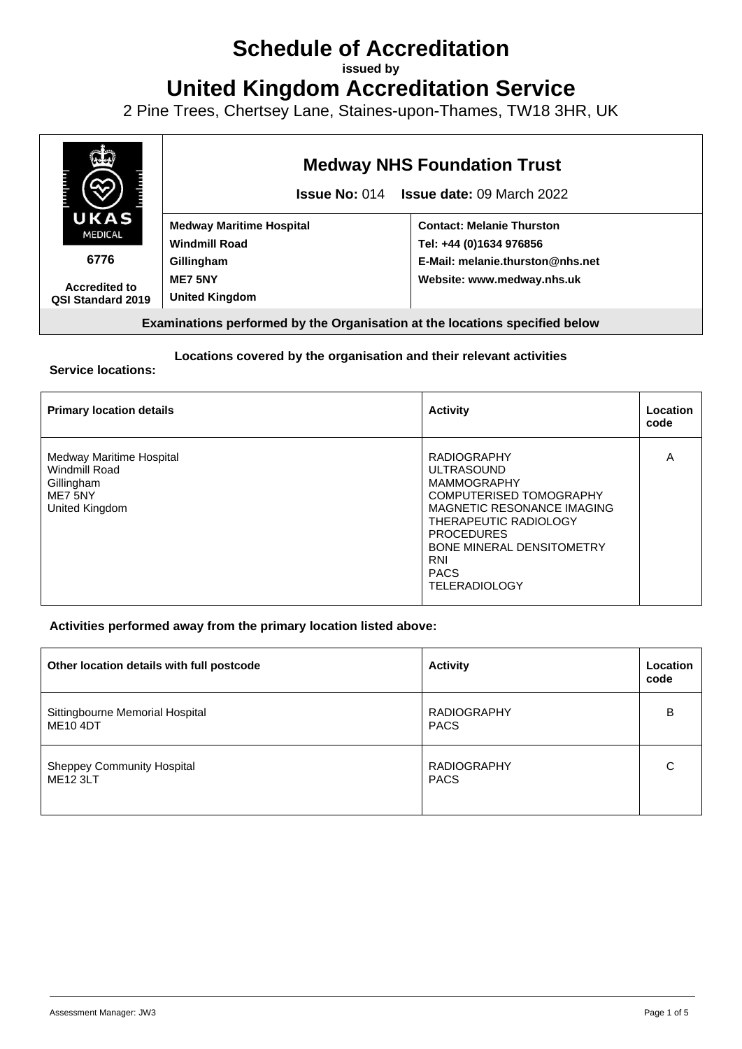# **Schedule of Accreditation**

**issued by**

**United Kingdom Accreditation Service**

2 Pine Trees, Chertsey Lane, Staines-upon-Thames, TW18 3HR, UK



#### **Locations covered by the organisation and their relevant activities**

#### **Service locations:**

| <b>Primary location details</b>                                                      | <b>Activity</b>                                                                                                                                                                                                                                               | Location<br>code |
|--------------------------------------------------------------------------------------|---------------------------------------------------------------------------------------------------------------------------------------------------------------------------------------------------------------------------------------------------------------|------------------|
| Medway Maritime Hospital<br>Windmill Road<br>Gillingham<br>ME7 5NY<br>United Kingdom | <b>RADIOGRAPHY</b><br><b>ULTRASOUND</b><br><b>MAMMOGRAPHY</b><br><b>COMPUTERISED TOMOGRAPHY</b><br>MAGNETIC RESONANCE IMAGING<br>THERAPEUTIC RADIOLOGY<br><b>PROCEDURES</b><br><b>BONE MINERAL DENSITOMETRY</b><br>RNI<br><b>PACS</b><br><b>TELERADIOLOGY</b> | Α                |

#### **Activities performed away from the primary location listed above:**

| Other location details with full postcode            | <b>Activity</b>                   | Location<br>code |
|------------------------------------------------------|-----------------------------------|------------------|
| Sittingbourne Memorial Hospital<br><b>ME10 4DT</b>   | <b>RADIOGRAPHY</b><br><b>PACS</b> | в                |
| <b>Sheppey Community Hospital</b><br><b>ME12 3LT</b> | <b>RADIOGRAPHY</b><br><b>PACS</b> | С                |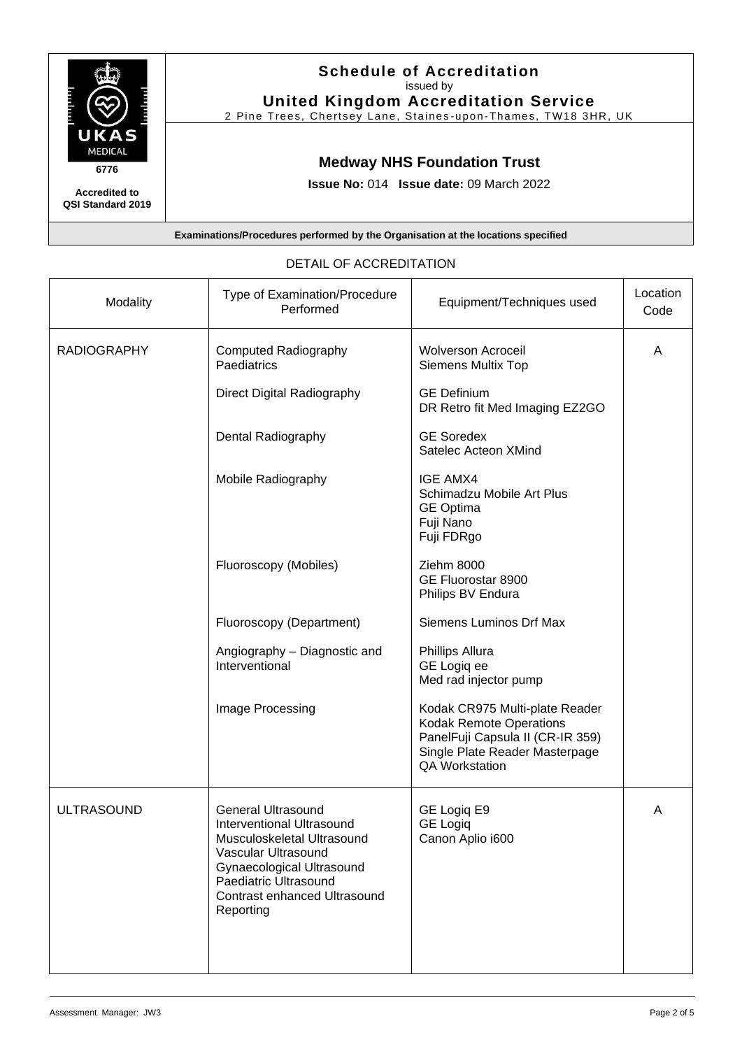

**Accredited to QSI Standard 2019**

T

### **Schedule of Accreditation**  issued by **United Kingdom Accreditation Service**

2 Pine Trees, Chertsey Lane, Staines -upon -Thames, TW18 3HR, UK

# **Medway NHS Foundation Trust**

**Issue No:** 014 **Issue date:** 09 March 2022

**Examinations/Procedures performed by the Organisation at the locations specified**

| Modality           | Type of Examination/Procedure<br>Performed                                                                                                                                                                                   | Equipment/Techniques used                                                                                                                                       | Location<br>Code |
|--------------------|------------------------------------------------------------------------------------------------------------------------------------------------------------------------------------------------------------------------------|-----------------------------------------------------------------------------------------------------------------------------------------------------------------|------------------|
| <b>RADIOGRAPHY</b> | <b>Computed Radiography</b><br>Paediatrics                                                                                                                                                                                   | <b>Wolverson Acroceil</b><br><b>Siemens Multix Top</b>                                                                                                          | A                |
|                    | Direct Digital Radiography                                                                                                                                                                                                   | <b>GE Definium</b><br>DR Retro fit Med Imaging EZ2GO                                                                                                            |                  |
|                    | Dental Radiography                                                                                                                                                                                                           | <b>GE Soredex</b><br>Satelec Acteon XMind                                                                                                                       |                  |
|                    | Mobile Radiography                                                                                                                                                                                                           | <b>IGE AMX4</b><br>Schimadzu Mobile Art Plus<br><b>GE Optima</b><br>Fuji Nano<br>Fuji FDRgo                                                                     |                  |
|                    | Fluoroscopy (Mobiles)                                                                                                                                                                                                        | Ziehm 8000<br>GE Fluorostar 8900<br>Philips BV Endura                                                                                                           |                  |
|                    | Fluoroscopy (Department)                                                                                                                                                                                                     | Siemens Luminos Drf Max                                                                                                                                         |                  |
|                    | Angiography - Diagnostic and<br>Interventional                                                                                                                                                                               | Phillips Allura<br>GE Logiq ee<br>Med rad injector pump                                                                                                         |                  |
|                    | Image Processing                                                                                                                                                                                                             | Kodak CR975 Multi-plate Reader<br><b>Kodak Remote Operations</b><br>PanelFuji Capsula II (CR-IR 359)<br>Single Plate Reader Masterpage<br><b>QA Workstation</b> |                  |
| <b>ULTRASOUND</b>  | <b>General Ultrasound</b><br><b>Interventional Ultrasound</b><br>Musculoskeletal Ultrasound<br>Vascular Ultrasound<br>Gynaecological Ultrasound<br>Paediatric Ultrasound<br><b>Contrast enhanced Ultrasound</b><br>Reporting | GE Logiq E9<br><b>GE Logiq</b><br>Canon Aplio i600                                                                                                              | A                |

#### DETAIL OF ACCREDITATION

T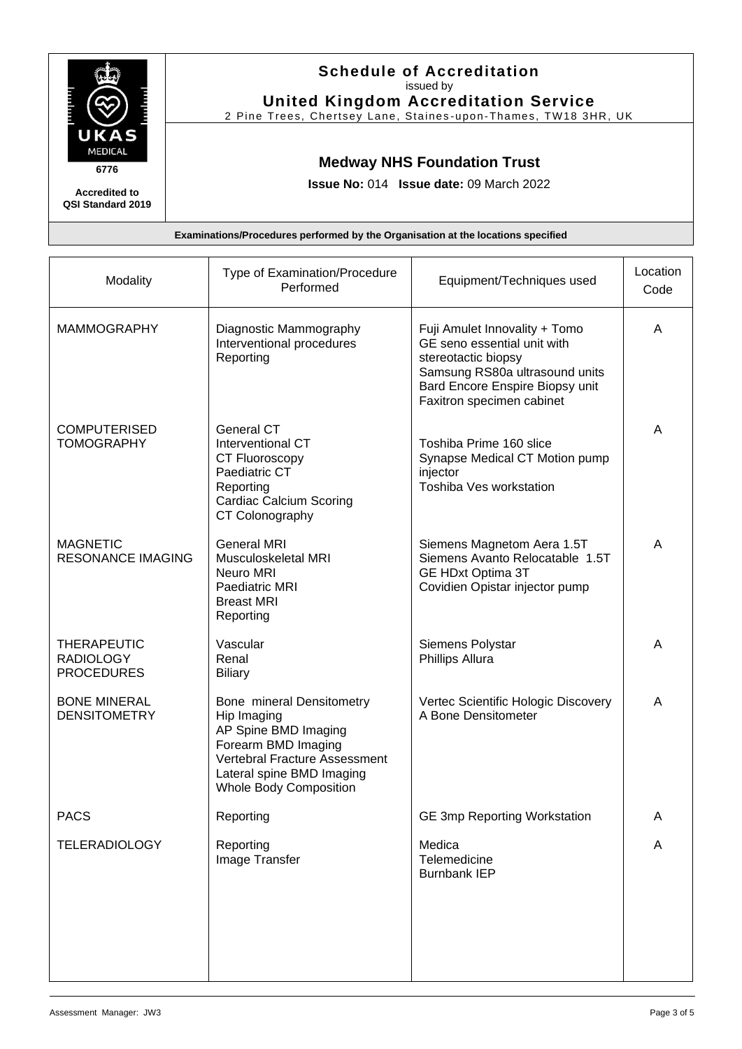

**Accredited to QSI Standard 2019**

#### **Schedule of Accreditation**  issued by **United Kingdom Accreditation Service**

2 Pine Trees, Chertsey Lane, Staines -upon -Thames, TW18 3HR, UK

## **Medway NHS Foundation Trust**

**Issue No:** 014 **Issue date:** 09 March 2022

**Examinations/Procedures performed by the Organisation at the locations specified**

| Type of Examination/Procedure<br>Performed                                                                                                                                             | Equipment/Techniques used                                                                                                                                                             | Location<br>Code |
|----------------------------------------------------------------------------------------------------------------------------------------------------------------------------------------|---------------------------------------------------------------------------------------------------------------------------------------------------------------------------------------|------------------|
| Diagnostic Mammography<br>Interventional procedures<br>Reporting                                                                                                                       | Fuji Amulet Innovality + Tomo<br>GE seno essential unit with<br>stereotactic biopsy<br>Samsung RS80a ultrasound units<br>Bard Encore Enspire Biopsy unit<br>Faxitron specimen cabinet | A                |
| <b>General CT</b><br>Interventional CT<br>CT Fluoroscopy<br>Paediatric CT<br>Reporting<br><b>Cardiac Calcium Scoring</b><br>CT Colonography                                            | Toshiba Prime 160 slice<br>Synapse Medical CT Motion pump<br>injector<br>Toshiba Ves workstation                                                                                      | A                |
| <b>General MRI</b><br>Musculoskeletal MRI<br>Neuro MRI<br>Paediatric MRI<br><b>Breast MRI</b><br>Reporting                                                                             | Siemens Magnetom Aera 1.5T<br>Siemens Avanto Relocatable 1.5T<br><b>GE HDxt Optima 3T</b><br>Covidien Opistar injector pump                                                           | A                |
| Vascular<br>Renal<br><b>Biliary</b>                                                                                                                                                    | Siemens Polystar<br>Phillips Allura                                                                                                                                                   | A                |
| Bone mineral Densitometry<br>Hip Imaging<br>AP Spine BMD Imaging<br>Forearm BMD Imaging<br>Vertebral Fracture Assessment<br>Lateral spine BMD Imaging<br><b>Whole Body Composition</b> | Vertec Scientific Hologic Discovery<br>A Bone Densitometer                                                                                                                            | A                |
| Reporting                                                                                                                                                                              | <b>GE 3mp Reporting Workstation</b>                                                                                                                                                   | A                |
| Reporting<br>Image Transfer                                                                                                                                                            | Medica<br>Telemedicine<br><b>Burnbank IEP</b>                                                                                                                                         | A                |
|                                                                                                                                                                                        |                                                                                                                                                                                       |                  |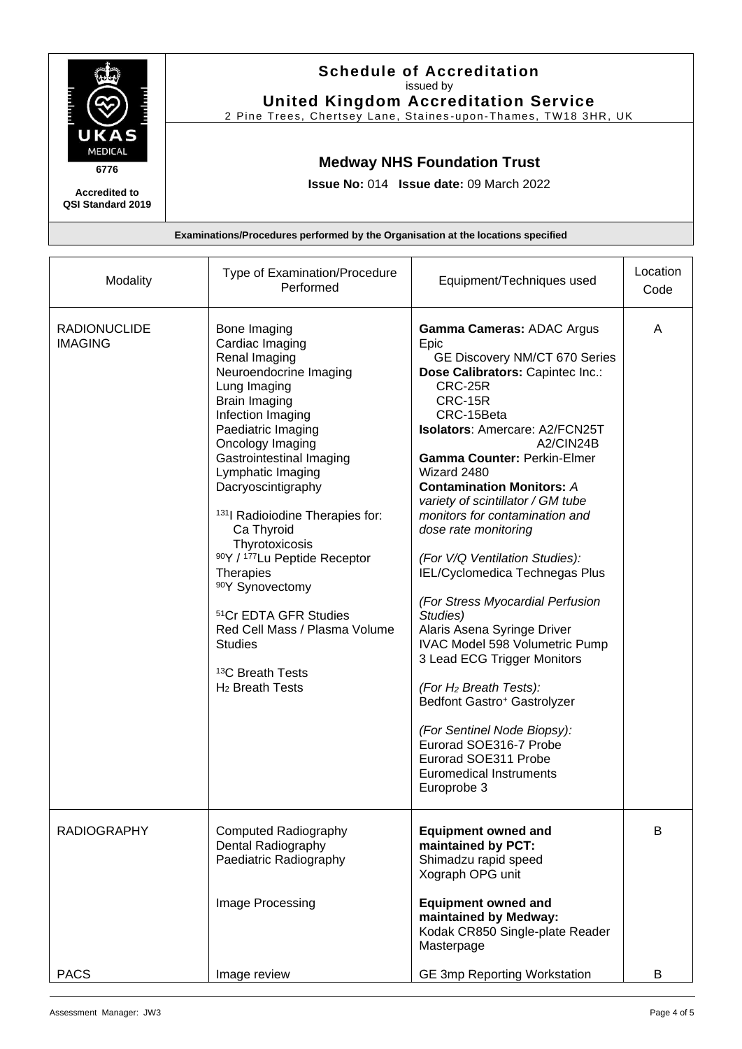

**Accredited to QSI Standard 2019**

#### **Schedule of Accreditation**  issued by **United Kingdom Accreditation Service**

2 Pine Trees, Chertsey Lane, Staines -upon -Thames, TW18 3HR, UK

## **Medway NHS Foundation Trust**

**Issue No:** 014 **Issue date:** 09 March 2022

**Examinations/Procedures performed by the Organisation at the locations specified**

|                                       | Performed                                                                                                                                                                                                                                                                                                                                                                                                                                                                                                                        |                                                                                                                                                                                                                                                                                                                                                                                                                                                                                                                                                                                                                                                                                                                                                                                                                                 | Code   |
|---------------------------------------|----------------------------------------------------------------------------------------------------------------------------------------------------------------------------------------------------------------------------------------------------------------------------------------------------------------------------------------------------------------------------------------------------------------------------------------------------------------------------------------------------------------------------------|---------------------------------------------------------------------------------------------------------------------------------------------------------------------------------------------------------------------------------------------------------------------------------------------------------------------------------------------------------------------------------------------------------------------------------------------------------------------------------------------------------------------------------------------------------------------------------------------------------------------------------------------------------------------------------------------------------------------------------------------------------------------------------------------------------------------------------|--------|
| <b>RADIONUCLIDE</b><br><b>IMAGING</b> | Bone Imaging<br>Cardiac Imaging<br>Renal Imaging<br>Neuroendocrine Imaging<br>Lung Imaging<br>Brain Imaging<br>Infection Imaging<br>Paediatric Imaging<br>Oncology Imaging<br>Gastrointestinal Imaging<br>Lymphatic Imaging<br>Dacryoscintigraphy<br><sup>131</sup> Radioiodine Therapies for:<br>Ca Thyroid<br>Thyrotoxicosis<br>90Y / 177Lu Peptide Receptor<br>Therapies<br>90Y Synovectomy<br>51Cr EDTA GFR Studies<br>Red Cell Mass / Plasma Volume<br><b>Studies</b><br><sup>13</sup> C Breath Tests<br>$H_2$ Breath Tests | Gamma Cameras: ADAC Argus<br>Epic<br>GE Discovery NM/CT 670 Series<br>Dose Calibrators: Capintec Inc.:<br>CRC-25R<br>CRC-15R<br>CRC-15Beta<br>Isolators: Amercare: A2/FCN25T<br>A2/CIN24B<br><b>Gamma Counter: Perkin-Elmer</b><br>Wizard 2480<br><b>Contamination Monitors: A</b><br>variety of scintillator / GM tube<br>monitors for contamination and<br>dose rate monitoring<br>(For V/Q Ventilation Studies):<br>IEL/Cyclomedica Technegas Plus<br>(For Stress Myocardial Perfusion<br>Studies)<br>Alaris Asena Syringe Driver<br><b>IVAC Model 598 Volumetric Pump</b><br>3 Lead ECG Trigger Monitors<br>(For H <sub>2</sub> Breath Tests):<br>Bedfont Gastro <sup>+</sup> Gastrolyzer<br>(For Sentinel Node Biopsy):<br>Eurorad SOE316-7 Probe<br>Eurorad SOE311 Probe<br><b>Euromedical Instruments</b><br>Europrobe 3 | A      |
| <b>RADIOGRAPHY</b><br><b>PACS</b>     | <b>Computed Radiography</b><br>Dental Radiography<br>Paediatric Radiography<br>Image Processing<br>Image review                                                                                                                                                                                                                                                                                                                                                                                                                  | <b>Equipment owned and</b><br>maintained by PCT:<br>Shimadzu rapid speed<br>Xograph OPG unit<br><b>Equipment owned and</b><br>maintained by Medway:<br>Kodak CR850 Single-plate Reader<br>Masterpage<br><b>GE 3mp Reporting Workstation</b>                                                                                                                                                                                                                                                                                                                                                                                                                                                                                                                                                                                     | B<br>B |